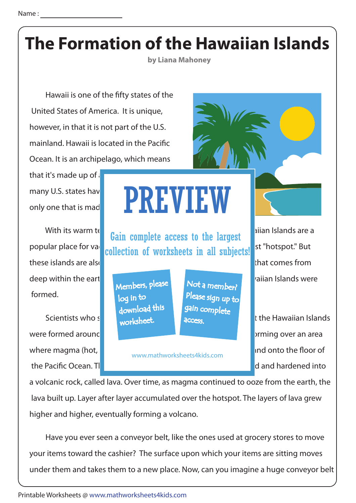## **The Formation of the Hawaiian Islands**

**by Liana Mahoney**

Hawaii is one of the fifty states of the United States of America. It is unique, however, in that it is not part of the U.S. mainland. Hawaii is located in the Pacific Ocean. It is an archipelago, which means

that it's made up of  $\mathbf i$ many U.S. states hav only one that is made up **that is in the up to i**n  $\blacksquare$  we will be up to it is a vertical vertical vertical vertical vertical vertical vertical vertical vertical vertical vertical vertical vertical vertical vertical ver

these islands are also known for a different kind of hotspot - one that comes from deep within the eart **This hotspot helps to explain how the Haussian how the Haussian Islands were** formed.

were formed around this million years ago. This is a good was also were in the islands began forming over an area where magma (hot,  $\blacksquare$ 

## PREVIEW

With its warm tet **Gain complete access to the largest**  $\begin{array}{|l|l|}\n\hline\n\end{array}$  alian Islands are a popular place for vack collection of worksheets in all subjects! st "hotspot." But

> Members, please download this worksheet. log in to

Not a member? gain complete Please sign up to **access** 

www.mathworksheets4kids.com

Scientists who study that the earth of the Hawaiian Islands the Pacific Ocean. This area is called a hotspot. The magnetic and hardened into

a volcanic rock, called lava. Over time, as magma continued to ooze from the earth, the lava built up. Layer after layer accumulated over the hotspot. The layers of lava grew higher and higher, eventually forming a volcano.

 Have you ever seen a conveyor belt, like the ones used at grocery stores to move your items toward the cashier? The surface upon which your items are sitting moves under them and takes them to a new place. Now, can you imagine a huge conveyor belt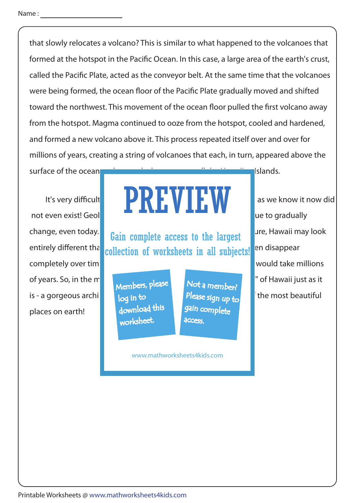that slowly relocates a volcano? This is similar to what happened to the volcanoes that formed at the hotspot in the Pacific Ocean. In this case, a large area of the earth's crust, called the Pacific Plate, acted as the conveyor belt. At the same time that the volcanoes were being formed, the ocean floor of the Pacific Plate gradually moved and shifted toward the northwest. This movement of the ocean floor pulled the first volcano away from the hotspot. Magma continued to ooze from the hotspot, cooled and hardened, and formed a new volcano above it. This process repeated itself over and over for millions of years, creating a string of volcanoes that each, in turn, appeared above the

surface of the ocean and created what we now call the Hamaiian Islands.

completely over time. These types of extreme completely over time completely over times would take millions of years. So, in the meant is continued to entour to entour the "hotspot" of Hawaii just as it is - a gorgeous archipelago in to the **Please** sign  $\mu$ , and only the most beautiful places on earth!

## It's very difficult to imagine that millions of the intervals of that millions of years ago, Hawaii as we know it now did not even exist! Geologists and the Hawaiian Islamic that the Hawaiian Islamic to gradually PREVIEW

change, even today. **This million complete access to the largest** are, Hawaii may look entirely different than collection of worksheets in all subjects! en disappear

> Members, please download this worksheet. log in to

Not a member? gain complete Please sign up to **access** 

www.mathworksheets4kids.com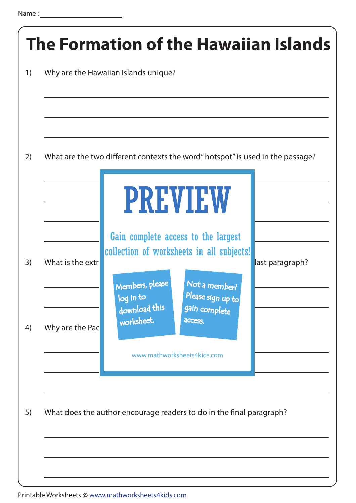| What are the two different contexts the word" hotspot" is used in the passage?                                  |                 |
|-----------------------------------------------------------------------------------------------------------------|-----------------|
| <b>PREVIEW</b><br>Gain complete access to the largest                                                           |                 |
| collection of worksheets in all subjects!<br>Members, please<br>Not a member?<br>Please sign up to<br>log in to | last paragraph? |
| download this<br>gain complete<br>worksheet.<br>access.<br>www.mathworksheets4kids.com                          |                 |
|                                                                                                                 |                 |